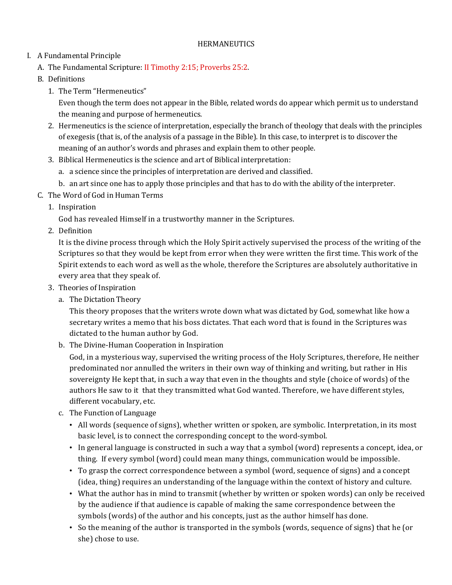### **HERMANEUTICS**

# I. A Fundamental Principle

- A. The Fundamental Scripture: II Timothy 2:15; Proverbs 25:2.
- B. Definitions
	- 1. The Term "Hermeneutics"

Even though the term does not appear in the Bible, related words do appear which permit us to understand the meaning and purpose of hermeneutics.

- 2. Hermeneutics is the science of interpretation, especially the branch of theology that deals with the principles of exegesis (that is, of the analysis of a passage in the Bible). In this case, to interpret is to discover the meaning of an author's words and phrases and explain them to other people.
- 3. Biblical Hermeneutics is the science and art of Biblical interpretation:
	- a. a science since the principles of interpretation are derived and classified.
	- b. an art since one has to apply those principles and that has to do with the ability of the interpreter.
- C. The Word of God in Human Terms
	- 1. Inspiration

God has revealed Himself in a trustworthy manner in the Scriptures.

2. Definition

It is the divine process through which the Holy Spirit actively supervised the process of the writing of the Scriptures so that they would be kept from error when they were written the first time. This work of the Spirit extends to each word as well as the whole, therefore the Scriptures are absolutely authoritative in every area that they speak of.

- 3. Theories of Inspiration
	- a. The Dictation Theory

This theory proposes that the writers wrote down what was dictated by God, somewhat like how a secretary writes a memo that his boss dictates. That each word that is found in the Scriptures was dictated to the human author by God.

b. The Divine-Human Cooperation in Inspiration

God, in a mysterious way, supervised the writing process of the Holy Scriptures, therefore, He neither predominated nor annulled the writers in their own way of thinking and writing, but rather in His sovereignty He kept that, in such a way that even in the thoughts and style (choice of words) of the authors He saw to it that they transmitted what God wanted. Therefore, we have different styles, different vocabulary, etc.

- c. The Function of Language
	- All words (sequence of signs), whether written or spoken, are symbolic. Interpretation, in its most basic level, is to connect the corresponding concept to the word-symbol.
	- In general language is constructed in such a way that a symbol (word) represents a concept, idea, or thing. If every symbol (word) could mean many things, communication would be impossible.
	- To grasp the correct correspondence between a symbol (word, sequence of signs) and a concept (idea, thing) requires an understanding of the language within the context of history and culture.
	- What the author has in mind to transmit (whether by written or spoken words) can only be received by the audience if that audience is capable of making the same correspondence between the symbols (words) of the author and his concepts, just as the author himself has done.
	- So the meaning of the author is transported in the symbols (words, sequence of signs) that he (or she) chose to use.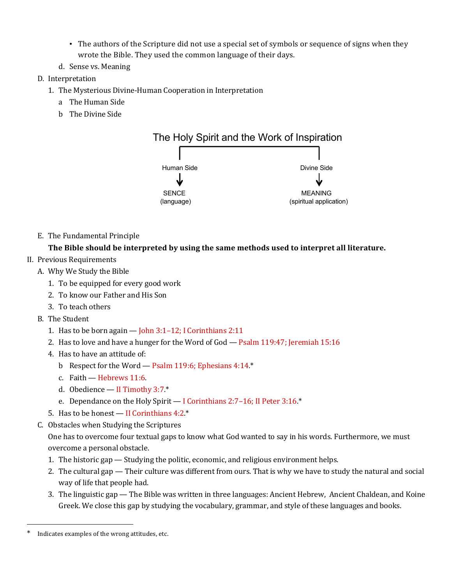- The authors of the Scripture did not use a special set of symbols or sequence of signs when they wrote the Bible. They used the common language of their days.
- d. Sense vs. Meaning
- D. Interpretation
	- 1. The Mysterious Divine-Human Cooperation in Interpretation
		- a The Human Side
		- b The Divine Side



E. The Fundamental Principle

## **The Bible should be interpreted by using the same methods used to interpret all literature.**

- II. Previous Requirements
	- A. Why We Study the Bible
		- 1. To be equipped for every good work
		- 2. To know our Father and His Son
		- 3. To teach others
	- B. The Student
		- 1. Has to be born again  $-$  John 3:1-12; I Corinthians 2:11
		- 2. Has to love and have a hunger for the Word of God Psalm 119:47; Jeremiah 15:16
		- 4. Has to have an attitude of:
			- b Respect for the Word Psalm 119:6; Ephesians 4:14.\*
			- c. Faith Hebrews 11:6.
			- d. Obedience II Timothy 3:7.\*
			- e. Dependance on the Holy Spirit I Corinthians 2:7–16; II Peter 3:16.\*
		- 5. Has to be honest II Corinthians 4:2<sup>\*</sup>
	- C. Obstacles when Studying the Scriptures

One has to overcome four textual gaps to know what God wanted to say in his words. Furthermore, we must overcome a personal obstacle.

- 1. The historic gap Studying the politic, economic, and religious environment helps.
- 2. The cultural gap Their culture was different from ours. That is why we have to study the natural and social way of life that people had.
- 3. The linguistic gap The Bible was written in three languages: Ancient Hebrew, Ancient Chaldean, and Koine Greek. We close this gap by studying the vocabulary, grammar, and style of these languages and books.

 $\overline{a}$ 

Indicates examples of the wrong attitudes, etc.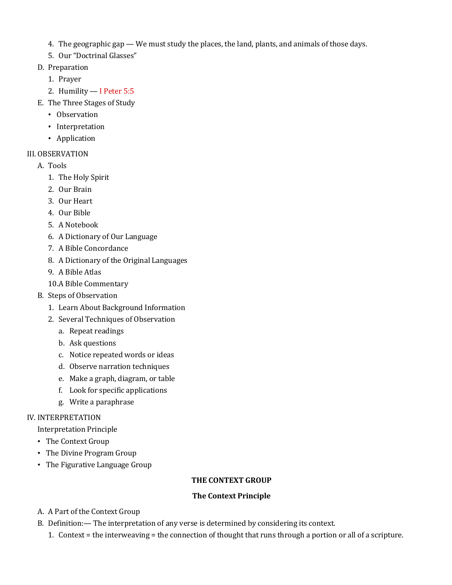- 4. The geographic gap  $-$  We must study the places, the land, plants, and animals of those days.
- 5. Our "Doctrinal Glasses"
- D. Preparation
	- 1. Prayer
	- 2. Humility I Peter 5:5
- E. The Three Stages of Study
	- Observation
	- Interpretation
	- Application

## III. OBSERVATION

- A. Tools
	- 1. The Holy Spirit
	- 2. Our Brain
	- 3. Our Heart
	- 4. Our Bible
	- 5. A Notebook
	- 6. A Dictionary of Our Language
	- 7. A Bible Concordance
	- 8. A Dictionary of the Original Languages
	- 9. A Bible Atlas
	- 10.A Bible Commentary
- B. Steps of Observation
	- 1. Learn About Background Information
	- 2. Several Techniques of Observation
		- a. Repeat readings
		- b. Ask questions
		- c. Notice repeated words or ideas
		- d. Observe narration techniques
		- e. Make a graph, diagram, or table
		- f. Look for specific applications
		- g. Write a paraphrase

### IV. INTERPRETATION

### Interpretation Principle

- The Context Group
- The Divine Program Group
- The Figurative Language Group

### **THE CONTEXT GROUP**

### **The Context Principle**

- A. A Part of the Context Group
- B. Definition:— The interpretation of any verse is determined by considering its context.
	- 1. Context = the interweaving = the connection of thought that runs through a portion or all of a scripture.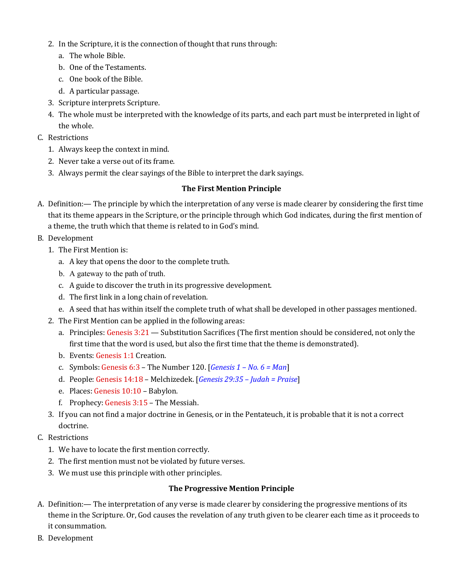- 2. In the Scripture, it is the connection of thought that runs through:
	- a. The whole Bible.
	- b. One of the Testaments.
	- c. One book of the Bible.
	- d. A particular passage.
- 3. Scripture interprets Scripture.
- 4. The whole must be interpreted with the knowledge of its parts, and each part must be interpreted in light of the whole.
- C. Restrictions
	- 1. Always keep the context in mind.
	- 2. Never take a verse out of its frame.
	- 3. Always permit the clear sayings of the Bible to interpret the dark sayings.

### **The First Mention Principle**

- A. Definition:— The principle by which the interpretation of any verse is made clearer by considering the first time that its theme appears in the Scripture, or the principle through which God indicates, during the first mention of a theme, the truth which that theme is related to in God's mind.
- B. Development
	- 1. The First Mention is:
		- a. A key that opens the door to the complete truth.
		- b. A gateway to the path of truth.
		- c. A guide to discover the truth in its progressive development.
		- d. The first link in a long chain of revelation.
		- e. A seed that has within itself the complete truth of what shall be developed in other passages mentioned.
	- 2. The First Mention can be applied in the following areas:
		- a. Principles: Genesis 3:21 Substitution Sacrifices (The first mention should be considered, not only the first time that the word is used, but also the first time that the theme is demonstrated).
		- b. Events: Genesis 1:1 Creation.
		- c. Symbols: Genesis 6:3 The Number 120. [*Genesis 1 – No. 6 = Man*]
		- d. People: Genesis 14:18 Melchizedek. [*Genesis 29:35 – Judah = Praise*]
		- e. Places: Genesis 10:10 Babylon.
		- f. Prophecy: Genesis 3:15 The Messiah.
	- 3. If you can not find a major doctrine in Genesis, or in the Pentateuch, it is probable that it is not a correct doctrine.
- C. Restrictions
	- 1. We have to locate the first mention correctly.
	- 2. The first mention must not be violated by future verses.
	- 3. We must use this principle with other principles.

### **The Progressive Mention Principle**

- A. Definition:— The interpretation of any verse is made clearer by considering the progressive mentions of its theme in the Scripture. Or, God causes the revelation of any truth given to be clearer each time as it proceeds to it consummation.
- B. Development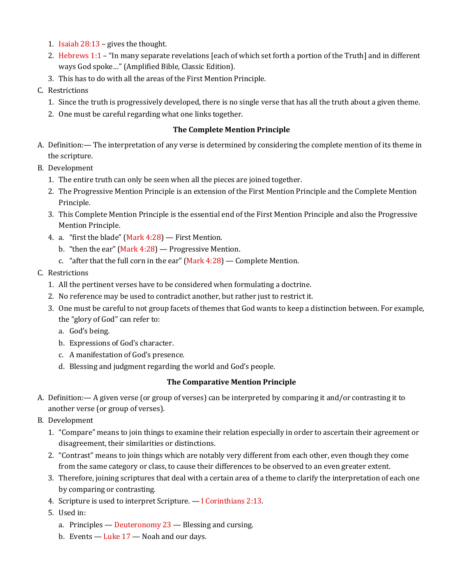- 1. Isaiah 28:13 gives the thought.
- 2. Hebrews 1:1 "In many separate revelations [each of which set forth a portion of the Truth] and in different ways God spoke…" (Amplified Bible, Classic Edition).
- 3. This has to do with all the areas of the First Mention Principle.
- C. Restrictions
	- 1. Since the truth is progressively developed, there is no single verse that has all the truth about a given theme.
	- 2. One must be careful regarding what one links together.

## **The Complete Mention Principle**

- A. Definition:— The interpretation of any verse is determined by considering the complete mention of its theme in the scripture.
- B. Development
	- 1. The entire truth can only be seen when all the pieces are joined together.
	- 2. The Progressive Mention Principle is an extension of the First Mention Principle and the Complete Mention Principle.
	- 3. This Complete Mention Principle is the essential end of the First Mention Principle and also the Progressive Mention Principle.
	- 4. a. "first the blade" (Mark 4:28) First Mention.
		- b. "then the ear" (Mark  $4:28$ ) Progressive Mention.
		- c. "after that the full corn in the ear"  $(Mark 4:28)$  Complete Mention.
- C. Restrictions
	- 1. All the pertinent verses have to be considered when formulating a doctrine.
	- 2. No reference may be used to contradict another, but rather just to restrict it.
	- 3. One must be careful to not group facets of themes that God wants to keep a distinction between. For example, the "glory of God" can refer to:
		- a. God's being.
		- b. Expressions of God's character.
		- c. A manifestation of God's presence.
		- d. Blessing and judgment regarding the world and God's people.

## **The Comparative Mention Principle**

- A. Definition:— A given verse (or group of verses) can be interpreted by comparing it and/or contrasting it to another verse (or group of verses).
- B. Development
	- 1. "Compare" means to join things to examine their relation especially in order to ascertain their agreement or disagreement, their similarities or distinctions.
	- 2. "Contrast" means to join things which are notably very different from each other, even though they come from the same category or class, to cause their differences to be observed to an even greater extent.
	- 3. Therefore, joining scriptures that deal with a certain area of a theme to clarify the interpretation of each one by comparing or contrasting.
	- 4. Scripture is used to interpret Scripture. I Corinthians 2:13.
	- 5. Used in:
		- a. Principles Deuteronomy 23 Blessing and cursing.
		- b. Events  $-$  Luke  $17 -$  Noah and our days.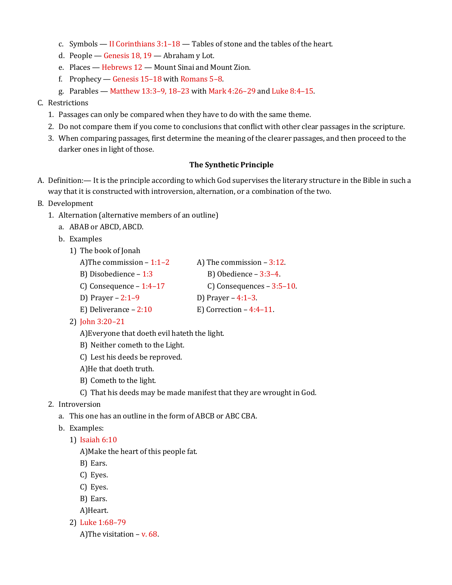- c. Symbols II Corinthians 3:1–18 Tables of stone and the tables of the heart.
- d. People Genesis 18, 19 Abraham y Lot.
- e. Places Hebrews 12 Mount Sinai and Mount Zion.
- f. Prophecy Genesis 15–18 with Romans 5–8.
- g. Parables Matthew 13:3–9, 18–23 with Mark 4:26–29 and Luke 8:4–15.
- C. Restrictions
	- 1. Passages can only be compared when they have to do with the same theme.
	- 2. Do not compare them if you come to conclusions that conflict with other clear passages in the scripture.
	- 3. When comparing passages, first determine the meaning of the clearer passages, and then proceed to the darker ones in light of those.

### **The Synthetic Principle**

A. Definition:— It is the principle according to which God supervises the literary structure in the Bible in such a way that it is constructed with introversion, alternation, or a combination of the two.

### B. Development

- 1. Alternation (alternative members of an outline)
	- a. ABAB or ABCD, ABCD.
	- b. Examples
		- 1) The book of Jonah
			- A)The commission  $-1:1-2$  A) The commission  $-3:12$ .
			- B) Disobedience  $1:3$  B) Obedience  $3:3-4$ .
			- C) Consequence  $1:4-17$  C) Consequences  $3:5-10$ .
			- D) Prayer  $2:1-9$  D) Prayer  $4:1-3$ .
			- E) Deliverance  $-2:10$  E) Correction  $-4:4-11$ .
		- 2) John 3:20–21

A)Everyone that doeth evil hateth the light.

- B) Neither cometh to the Light.
- C) Lest his deeds be reproved.
- A)He that doeth truth.
- B) Cometh to the light.
- C) That his deeds may be made manifest that they are wrought in God.
- 2. Introversion
	- a. This one has an outline in the form of ABCB or ABC CBA.
	- b. Examples:
		- 1) Isaiah 6:10
			- A)Make the heart of this people fat.
			- B) Ears.
			- C) Eyes.
			- C) Eyes.
			- B) Ears.
			- A)Heart.
		- 2) Luke 1:68–79
			- A)The visitation v. 68.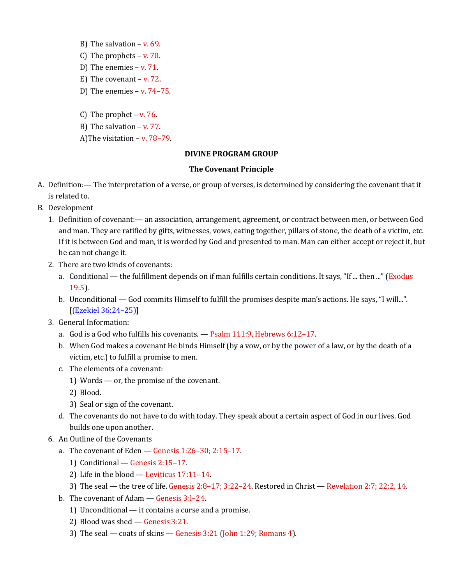- B) The salvation v. 69. C) The prophets – v. 70. D) The enemies – v. 71. E) The covenant – v. 72. D) The enemies  $-$  v.  $74-75$ .
- C) The prophet  $v. 76$ .
- B) The salvation v. 77.
- A)The visitation v. 78–79.

#### **DIVINE PROGRAM GROUP**

#### **The Covenant Principle**

- A. Definition:— The interpretation of a verse, or group of verses, is determined by considering the covenant that it is related to.
- B. Development
	- 1. Definition of covenant:— an association, arrangement, agreement, or contract between men, or between God and man. They are ratified by gifts, witnesses, vows, eating together, pillars of stone, the death of a victim, etc. If it is between God and man, it is worded by God and presented to man. Man can either accept or reject it, but he can not change it.
	- 2. There are two kinds of covenants:
		- a. Conditional the fulfillment depends on if man fulfills certain conditions. It says, "If ... then ..." (Exodus 19:5).
		- b. Unconditional God commits Himself to fulfill the promises despite man's actions. He says, "I will...". [(Ezekiel 36:24–25)]
	- 3. General Information:
		- a. God is a God who fulfills his covenants. Psalm 111:9, Hebrews 6:12–17.
		- b. When God makes a covenant He binds Himself (by a vow, or by the power of a law, or by the death of a victim, etc.) to fulfill a promise to men.
		- c. The elements of a covenant:
			- 1) Words or, the promise of the covenant.
			- 2) Blood.
			- 3) Seal or sign of the covenant.
		- d. The covenants do not have to do with today. They speak about a certain aspect of God in our lives. God builds one upon another.
	- 6. An Outline of the Covenants
		- a. The covenant of Eden  $-$  Genesis 1:26-30; 2:15-17.
			- 1) Conditional Genesis 2:15–17.
			- 2) Life in the blood Leviticus 17:11–14.
			- 3) The seal the tree of life. Genesis 2:8–17; 3:22–24. Restored in Christ Revelation 2:7; 22:2, 14.
		- b. The covenant of Adam Genesis 3:l–24.
			- 1) Unconditional it contains a curse and a promise.
			- 2) Blood was shed Genesis 3:21.
			- 3) The seal coats of skins Genesis 3:21 (John 1:29; Romans 4).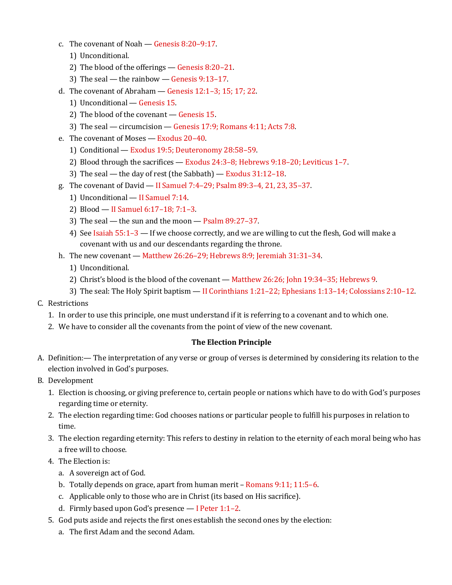- c. The covenant of Noah Genesis 8:20–9:17.
	- 1) Unconditional.
	- 2) The blood of the offerings Genesis 8:20–21.
	- 3) The seal the rainbow Genesis 9:13–17.
- d. The covenant of Abraham  $-$  Genesis 12:1-3; 15; 17; 22.
	- 1) Unconditional Genesis 15.
	- 2) The blood of the covenant Genesis 15.
	- 3) The seal circumcision Genesis 17:9; Romans 4:11; Acts 7:8.
- e. The covenant of Moses Exodus 20–40.
	- 1) Conditional Exodus 19:5; Deuteronomy 28:58–59.
	- 2) Blood through the sacrifices Exodus 24:3–8; Hebrews 9:18–20; Leviticus 1–7.
	- 3) The seal the day of rest (the Sabbath) Exodus 31:12–18.
- g. The covenant of David II Samuel 7:4–29; Psalm 89:3–4, 21, 23, 35–37.
	- 1) Unconditional II Samuel 7:14.
	- 2) Blood II Samuel 6:17–18; 7:1–3.
	- 3) The seal the sun and the moon Psalm 89:27–37.
	- 4) See Isaiah 55:1–3 If we choose correctly, and we are willing to cut the flesh, God will make a covenant with us and our descendants regarding the throne.
- h. The new covenant Matthew 26:26–29; Hebrews 8:9; Jeremiah 31:31–34.
	- 1) Unconditional.
	- 2) Christ's blood is the blood of the covenant Matthew 26:26; John 19:34–35; Hebrews 9.
	- 3) The seal: The Holy Spirit baptism II Corinthians 1:21–22; Ephesians 1:13–14; Colossians 2:10–12.
- C. Restrictions
	- 1. In order to use this principle, one must understand if it is referring to a covenant and to which one.
	- 2. We have to consider all the covenants from the point of view of the new covenant.

### **The Election Principle**

- A. Definition:— The interpretation of any verse or group of verses is determined by considering its relation to the election involved in God's purposes.
- B. Development
	- 1. Election is choosing, or giving preference to, certain people or nations which have to do with God's purposes regarding time or eternity.
	- 2. The election regarding time: God chooses nations or particular people to fulfill his purposes in relation to time.
	- 3. The election regarding eternity: This refers to destiny in relation to the eternity of each moral being who has a free will to choose.
	- 4. The Election is:
		- a. A sovereign act of God.
		- b. Totally depends on grace, apart from human merit Romans 9:11; 11:5–6.
		- c. Applicable only to those who are in Christ (its based on His sacrifice).
		- d. Firmly based upon God's presence  $-$  I Peter 1:1-2.
	- 5. God puts aside and rejects the first ones establish the second ones by the election:
		- a. The first Adam and the second Adam.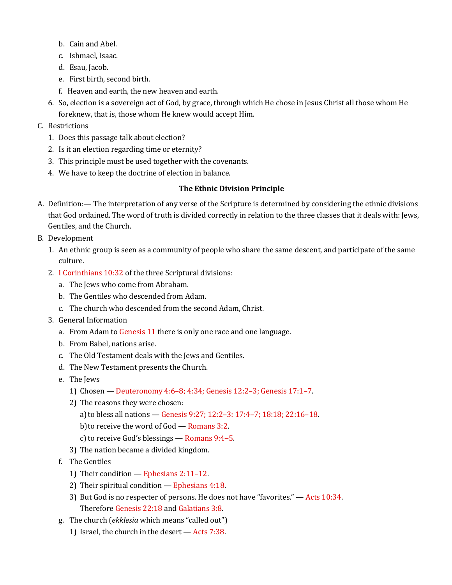- b. Cain and Abel.
- c. Ishmael, Isaac.
- d. Esau, Jacob.
- e. First birth, second birth.
- f. Heaven and earth, the new heaven and earth.
- 6. So, election is a sovereign act of God, by grace, through which He chose in Jesus Christ all those whom He foreknew, that is, those whom He knew would accept Him.
- C. Restrictions
	- 1. Does this passage talk about election?
	- 2. Is it an election regarding time or eternity?
	- 3. This principle must be used together with the covenants.
	- 4. We have to keep the doctrine of election in balance.

### **The Ethnic Division Principle**

- A. Definition:— The interpretation of any verse of the Scripture is determined by considering the ethnic divisions that God ordained. The word of truth is divided correctly in relation to the three classes that it deals with: Jews, Gentiles, and the Church.
- B. Development
	- 1. An ethnic group is seen as a community of people who share the same descent, and participate of the same culture.
	- 2. I Corinthians 10:32 of the three Scriptural divisions:
		- a. The Jews who come from Abraham.
		- b. The Gentiles who descended from Adam.
		- c. The church who descended from the second Adam, Christ.
	- 3. General Information
		- a. From Adam to Genesis 11 there is only one race and one language.
		- b. From Babel, nations arise.
		- c. The Old Testament deals with the Jews and Gentiles.
		- d. The New Testament presents the Church.
		- e. The Jews
			- 1) Chosen Deuteronomy 4:6–8; 4:34; Genesis 12:2–3; Genesis 17:1–7.
			- 2) The reasons they were chosen:
				- a)to bless all nations Genesis 9:27; 12:2–3: 17:4–7; 18:18; 22:16–18.
				- b)to receive the word of God Romans 3:2.
				- c) to receive God's blessings Romans  $9:4-5$ .
			- 3) The nation became a divided kingdom.
		- f. The Gentiles
			- 1) Their condition Ephesians 2:11–12.
			- 2) Their spiritual condition Ephesians 4:18.
			- 3) But God is no respecter of persons. He does not have "favorites." Acts 10:34. Therefore Genesis 22:18 and Galatians 3:8.
		- g. The church (*ekklesia* which means "called out")
			- 1) Israel, the church in the desert Acts 7:38.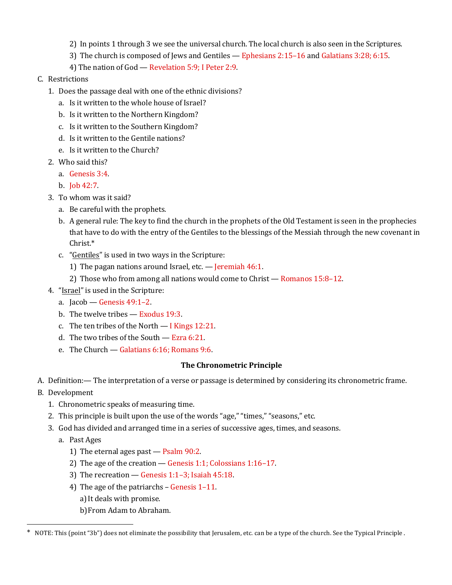- 2) In points 1 through 3 we see the universal church. The local church is also seen in the Scriptures.
- 3) The church is composed of Jews and Gentiles Ephesians 2:15–16 and Galatians 3:28; 6:15.
- 4) The nation of God Revelation 5:9; I Peter 2:9.
- C. Restrictions
	- 1. Does the passage deal with one of the ethnic divisions?
		- a. Is it written to the whole house of Israel?
		- b. Is it written to the Northern Kingdom?
		- c. Is it written to the Southern Kingdom?
		- d. Is it written to the Gentile nations?
		- e. Is it written to the Church?
	- 2. Who said this?
		- a. Genesis 3:4.
		- b. Job 42:7.
	- 3. To whom was it said?
		- a. Be careful with the prophets.
		- b. A general rule: The key to find the church in the prophets of the Old Testament is seen in the prophecies that have to do with the entry of the Gentiles to the blessings of the Messiah through the new covenant in Christ.\*
		- c. "Gentiles" is used in two ways in the Scripture:
			- 1) The pagan nations around Israel, etc.  $-$  Jeremiah 46:1.
			- 2) Those who from among all nations would come to Christ Romanos 15:8–12.
	- 4. "Israel" is used in the Scripture:
		- a.  $Iacob Genesis 49:1-2$ .
		- b. The twelve tribes Exodus 19:3.
		- c. The ten tribes of the North I Kings 12:21.
		- d. The two tribes of the South Ezra 6:21.
		- e. The Church Galatians 6:16; Romans 9:6.

### **The Chronometric Principle**

- A. Definition:— The interpretation of a verse or passage is determined by considering its chronometric frame.
- B. Development

 $\overline{a}$ 

- 1. Chronometric speaks of measuring time.
- 2. This principle is built upon the use of the words "age," "times," "seasons," etc.
- 3. God has divided and arranged time in a series of successive ages, times, and seasons.
	- a. Past Ages
		- 1) The eternal ages past Psalm 90:2.
		- 2) The age of the creation Genesis 1:1; Colossians 1:16–17.
		- 3) The recreation Genesis 1:1–3; Isaiah 45:18.
		- 4) The age of the patriarchs Genesis 1–11.
			- a) It deals with promise.
			- b)From Adam to Abraham.

<sup>\*</sup> NOTE: This (point "3b") does not eliminate the possibility that Jerusalem, etc. can be a type of the church. See the Typical Principle.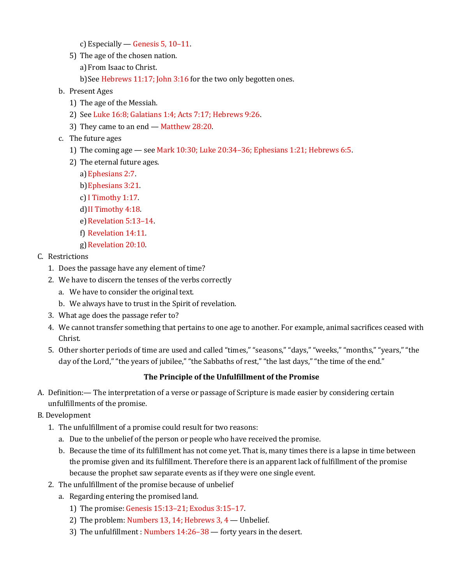- c) Especially Genesis 5, 10–11.
- 5) The age of the chosen nation.
	- a) From Isaac to Christ.
	- b) See Hebrews 11:17; John 3:16 for the two only begotten ones.
- b. Present Ages
	- 1) The age of the Messiah.
	- 2) See Luke 16:8; Galatians 1:4; Acts 7:17; Hebrews 9:26.
	- 3) They came to an end Matthew 28:20.
- c. The future ages
	- 1) The coming age see Mark 10:30; Luke 20:34–36; Ephesians 1:21; Hebrews 6:5.
	- 2) The eternal future ages.
		- a)Ephesians 2:7.
		- b)Ephesians 3:21.
		- c)I Timothy 1:17.
		- d)II Timothy 4:18.
		- e) Revelation 5:13-14.
		- f) Revelation 14:11.
		- g)Revelation 20:10.
- C. Restrictions
	- 1. Does the passage have any element of time?
	- 2. We have to discern the tenses of the verbs correctly
		- a. We have to consider the original text.
		- b. We always have to trust in the Spirit of revelation.
	- 3. What age does the passage refer to?
	- 4. We cannot transfer something that pertains to one age to another. For example, animal sacrifices ceased with Christ.
	- 5. Other shorter periods of time are used and called "times," "seasons," "days," "weeks," "months," "years," "the day of the Lord," "the years of jubilee," "the Sabbaths of rest," "the last days," "the time of the end."

### **The Principle of the Unfulfillment of the Promise**

- A. Definition:— The interpretation of a verse or passage of Scripture is made easier by considering certain unfulfillments of the promise.
- B. Development
	- 1. The unfulfillment of a promise could result for two reasons:
		- a. Due to the unbelief of the person or people who have received the promise.
		- b. Because the time of its fulfillment has not come yet. That is, many times there is a lapse in time between the promise given and its fulfillment. Therefore there is an apparent lack of fulfillment of the promise because the prophet saw separate events as if they were one single event.
	- 2. The unfulfillment of the promise because of unbelief
		- a. Regarding entering the promised land.
			- 1) The promise: Genesis 15:13–21; Exodus 3:15–17.
			- 2) The problem: Numbers 13, 14; Hebrews 3, 4 Unbelief.
			- 3) The unfulfillment : Numbers 14:26–38 forty years in the desert.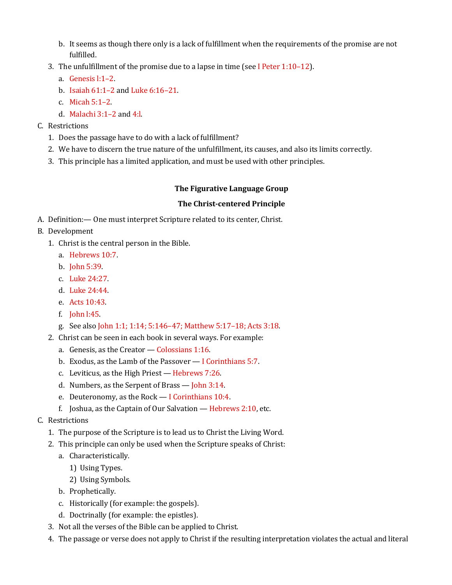- b. It seems as though there only is a lack of fulfillment when the requirements of the promise are not fulfilled.
- 3. The unfulfillment of the promise due to a lapse in time (see I Peter 1:10–12).
	- a. Genesis l:1–2.
	- b. Isaiah 61:1–2 and Luke 6:16–21.
	- c. Micah 5:1–2.
	- d. Malachi 3:1–2 and 4:l.
- C. Restrictions
	- 1. Does the passage have to do with a lack of fulfillment?
	- 2. We have to discern the true nature of the unfulfillment, its causes, and also its limits correctly.
	- 3. This principle has a limited application, and must be used with other principles.

### **The Figurative Language Group**

### **The Christ-centered Principle**

- A. Definition:— One must interpret Scripture related to its center, Christ.
- B. Development
	- 1. Christ is the central person in the Bible.
		- a. Hebrews 10:7.
		- b. John 5:39.
		- c. Luke 24:27.
		- d. Luke 24:44.
		- e. Acts 10:43.
		- f. John l:45.
		- g. See also John 1:1; 1:14; 5:146–47; Matthew 5:17–18; Acts 3:18.
	- 2. Christ can be seen in each book in several ways. For example:
		- a. Genesis, as the Creator Colossians 1:16.
		- b. Exodus, as the Lamb of the Passover I Corinthians 5:7.
		- c. Leviticus, as the High Priest Hebrews 7:26.
		- d. Numbers, as the Serpent of Brass John 3:14.
		- e. Deuteronomy, as the Rock  $-$  I Corinthians 10:4.
		- f. Joshua, as the Captain of Our Salvation  $-$  Hebrews 2:10, etc.
- C. Restrictions
	- 1. The purpose of the Scripture is to lead us to Christ the Living Word.
	- 2. This principle can only be used when the Scripture speaks of Christ:
		- a. Characteristically.
			- 1) Using Types.
			- 2) Using Symbols.
		- b. Prophetically.
		- c. Historically (for example: the gospels).
		- d. Doctrinally (for example: the epistles).
	- 3. Not all the verses of the Bible can be applied to Christ.
	- 4. The passage or verse does not apply to Christ if the resulting interpretation violates the actual and literal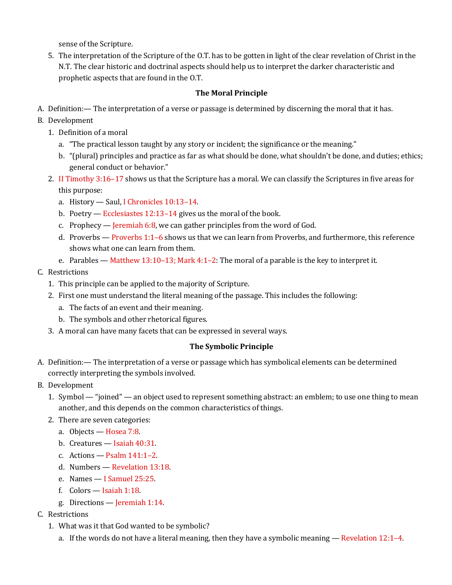sense of the Scripture.

5. The interpretation of the Scripture of the O.T. has to be gotten in light of the clear revelation of Christ in the N.T. The clear historic and doctrinal aspects should help us to interpret the darker characteristic and prophetic aspects that are found in the O.T.

# **The Moral Principle**

- A. Definition:— The interpretation of a verse or passage is determined by discerning the moral that it has.
- B. Development
	- 1. Definition of a moral
		- a. "The practical lesson taught by any story or incident; the significance or the meaning."
		- b. "(plural) principles and practice as far as what should be done, what shouldn't be done, and duties; ethics; general conduct or behavior."
	- 2. II Timothy 3:16–17 shows us that the Scripture has a moral. We can classify the Scriptures in five areas for this purpose:
		- a. History Saul, I Chronicles 10:13–14.
		- b. Poetry Ecclesiastes 12:13–14 gives us the moral of the book.
		- c. Prophecy Jeremiah 6:8, we can gather principles from the word of God.
		- d. Proverbs Proverbs  $1:1-6$  shows us that we can learn from Proverbs, and furthermore, this reference shows what one can learn from them.
		- e. Parables Matthew 13:10–13; Mark 4:1–2: The moral of a parable is the key to interpret it.
- C. Restrictions
	- 1. This principle can be applied to the majority of Scripture.
	- 2. First one must understand the literal meaning of the passage. This includes the following:
		- a. The facts of an event and their meaning.
		- b. The symbols and other rhetorical figures.
	- 3. A moral can have many facets that can be expressed in several ways.

## **The Symbolic Principle**

- A. Definition:— The interpretation of a verse or passage which has symbolical elements can be determined correctly interpreting the symbols involved.
- B. Development
	- 1. Symbol "joined" an object used to represent something abstract: an emblem; to use one thing to mean another, and this depends on the common characteristics of things.
	- 2. There are seven categories:
		- a. Objects Hosea 7:8.
		- b. Creatures Isaiah 40:31.
		- c. Actions Psalm  $141:1-2$ .
		- d. Numbers Revelation 13:18.
		- e. Names I Samuel 25:25.
		- f. Colors Isaiah 1:18.
		- g. Directions Jeremiah 1:14.
- C. Restrictions
	- 1. What was it that God wanted to be symbolic?
		- a. If the words do not have a literal meaning, then they have a symbolic meaning Revelation 12:1–4.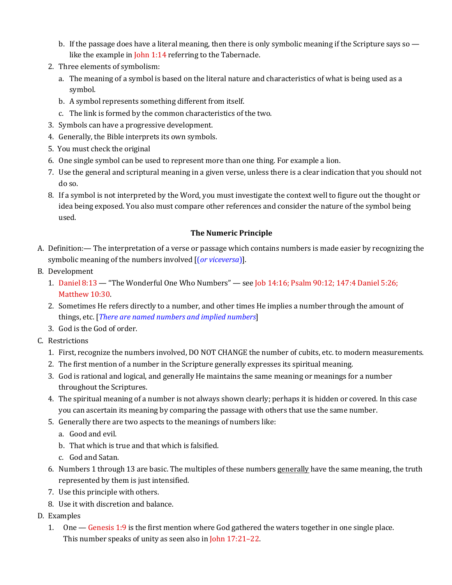- b. If the passage does have a literal meaning, then there is only symbolic meaning if the Scripture says so like the example in John 1:14 referring to the Tabernacle.
- 2. Three elements of symbolism:
	- a. The meaning of a symbol is based on the literal nature and characteristics of what is being used as a symbol.
	- b. A symbol represents something different from itself.
	- c. The link is formed by the common characteristics of the two.
- 3. Symbols can have a progressive development.
- 4. Generally, the Bible interprets its own symbols.
- 5. You must check the original
- 6. One single symbol can be used to represent more than one thing. For example a lion.
- 7. Use the general and scriptural meaning in a given verse, unless there is a clear indication that you should not do so.
- 8. If a symbol is not interpreted by the Word, you must investigate the context well to figure out the thought or idea being exposed. You also must compare other references and consider the nature of the symbol being used.

### **The Numeric Principle**

- A. Definition:— The interpretation of a verse or passage which contains numbers is made easier by recognizing the symbolic meaning of the numbers involved [(*or viceversa*)].
- B. Development
	- 1. Daniel 8:13 "The Wonderful One Who Numbers" see Job 14:16; Psalm 90:12; 147:4 Daniel 5:26; Matthew 10:30.
	- 2. Sometimes He refers directly to a number, and other times He implies a number through the amount of things, etc. [*There are named numbers and implied numbers*]
	- 3. God is the God of order.
- C. Restrictions
	- 1. First, recognize the numbers involved, DO NOT CHANGE the number of cubits, etc. to modern measurements.
	- 2. The first mention of a number in the Scripture generally expresses its spiritual meaning.
	- 3. God is rational and logical, and generally He maintains the same meaning or meanings for a number throughout the Scriptures.
	- 4. The spiritual meaning of a number is not always shown clearly; perhaps it is hidden or covered. In this case you can ascertain its meaning by comparing the passage with others that use the same number.
	- 5. Generally there are two aspects to the meanings of numbers like:
		- a. Good and evil.
		- b. That which is true and that which is falsified.
		- c. God and Satan.
	- 6. Numbers 1 through 13 are basic. The multiples of these numbers generally have the same meaning, the truth represented by them is just intensified.
	- 7. Use this principle with others.
	- 8. Use it with discretion and balance.
- D. Examples
	- 1. One Genesis 1:9 is the first mention where God gathered the waters together in one single place. This number speaks of unity as seen also in John 17:21–22.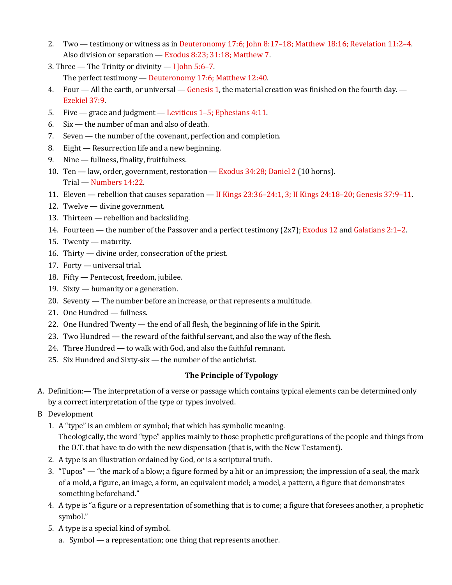- 2. Two testimony or witness as in Deuteronomy 17:6; John 8:17–18; Matthew 18:16; Revelation 11:2–4. Also division or separation — Exodus 8:23; 31:18; Matthew 7.
- 3. Three The Trinity or divinity I John  $5:6-7$ . The perfect testimony — Deuteronomy 17:6; Matthew 12:40.
- 4. Four All the earth, or universal Genesis 1, the material creation was finished on the fourth day. Ezekiel 37:9.
- 5. Five grace and judgment Leviticus 1–5; Ephesians 4:11.
- 6. Six the number of man and also of death.
- 7. Seven the number of the covenant, perfection and completion.
- 8. Eight Resurrection life and a new beginning.
- 9. Nine fullness, finality, fruitfulness.
- 10. Ten law, order, government, restoration Exodus 34:28; Daniel 2 (10 horns). Trial — Numbers 14:22.
- 11. Eleven rebellion that causes separation II Kings 23:36–24:1, 3; II Kings 24:18–20; Genesis 37:9–11.
- 12. Twelve divine government.
- 13. Thirteen rebellion and backsliding.
- 14. Fourteen the number of the Passover and a perfect testimony (2x7); Exodus 12 and Galatians 2:1–2.
- 15. Twenty maturity.
- 16. Thirty divine order, consecration of the priest.
- 17. Forty universal trial.
- 18. Fifty Pentecost, freedom, jubilee.
- 19. Sixty humanity or a generation.
- 20. Seventy The number before an increase, or that represents a multitude.
- 21. One Hundred fullness.
- 22. One Hundred Twenty the end of all flesh, the beginning of life in the Spirit.
- 23. Two Hundred the reward of the faithful servant, and also the way of the flesh.
- 24. Three Hundred to walk with God, and also the faithful remnant.
- 25. Six Hundred and Sixty-six the number of the antichrist.

### **The Principle of Typology**

- A. Definition:— The interpretation of a verse or passage which contains typical elements can be determined only by a correct interpretation of the type or types involved.
- B Development
	- 1. A "type" is an emblem or symbol; that which has symbolic meaning. Theologically, the word "type" applies mainly to those prophetic prefigurations of the people and things from the O.T. that have to do with the new dispensation (that is, with the New Testament).
	- 2. A type is an illustration ordained by God, or is a scriptural truth.
	- 3. "Tupos" "the mark of a blow; a figure formed by a hit or an impression; the impression of a seal, the mark of a mold, a figure, an image, a form, an equivalent model; a model, a pattern, a figure that demonstrates something beforehand."
	- 4. A type is "a figure or a representation of something that is to come; a figure that foresees another, a prophetic symbol."
	- 5. A type is a special kind of symbol.
		- a. Symbol a representation; one thing that represents another.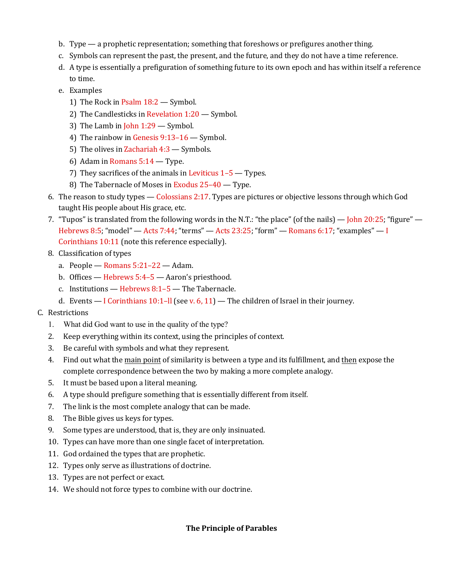- b. Type a prophetic representation; something that foreshows or prefigures another thing.
- c. Symbols can represent the past, the present, and the future, and they do not have a time reference.
- d. A type is essentially a prefiguration of something future to its own epoch and has within itself a reference to time.
- e. Examples
	- 1) The Rock in Psalm 18:2 Symbol.
	- 2) The Candlesticks in Revelation 1:20 Symbol.
	- 3) The Lamb in John 1:29 Symbol.
	- 4) The rainbow in Genesis 9:13–16 Symbol.
	- 5) The olives in Zachariah 4:3 Symbols.
	- 6) Adam in Romans 5:14 Type.
	- 7) They sacrifices of the animals in Leviticus 1–5 Types.
	- 8) The Tabernacle of Moses in Exodus 25–40 Type.
- 6. The reason to study types Colossians 2:17. Types are pictures or objective lessons through which God taught His people about His grace, etc.
- 7. "Tupos" is translated from the following words in the N.T.: "the place" (of the nails) John 20:25; "figure" Hebrews 8:5; "model"  $-$  Acts 7:44; "terms"  $-$  Acts 23:25; "form"  $-$  Romans 6:17; "examples"  $-$  I Corinthians 10:11 (note this reference especially).
- 8. Classification of types
	- a. People Romans 5:21–22 Adam.
	- b. Offices Hebrews 5:4–5 Aaron's priesthood.
	- c. Institutions Hebrews 8:1–5 The Tabernacle.
	- d. Events I Corinthians  $10:1$ –II (see v. 6, 11) The children of Israel in their journey.
- C. Restrictions
	- 1. What did God want to use in the quality of the type?
	- 2. Keep everything within its context, using the principles of context.
	- 3. Be careful with symbols and what they represent.
	- 4. Find out what the main point of similarity is between a type and its fulfillment, and then expose the complete correspondence between the two by making a more complete analogy.
	- 5. It must be based upon a literal meaning.
	- 6. A type should prefigure something that is essentially different from itself.
	- 7. The link is the most complete analogy that can be made.
	- 8. The Bible gives us keys for types.
	- 9. Some types are understood, that is, they are only insinuated.
	- 10. Types can have more than one single facet of interpretation.
	- 11. God ordained the types that are prophetic.
	- 12. Types only serve as illustrations of doctrine.
	- 13. Types are not perfect or exact.
	- 14. We should not force types to combine with our doctrine.

### **The Principle of Parables**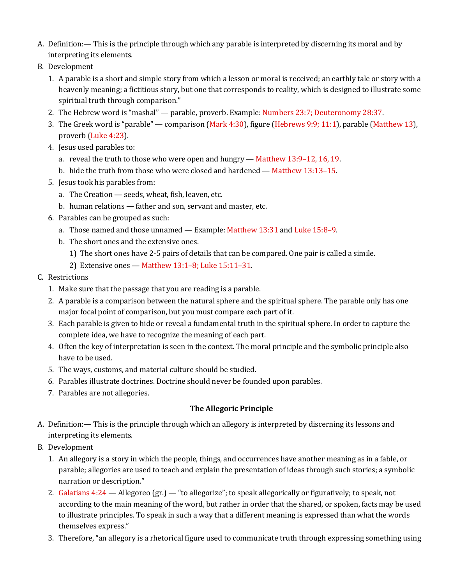- A. Definition:— This is the principle through which any parable is interpreted by discerning its moral and by interpreting its elements.
- B. Development
	- 1. A parable is a short and simple story from which a lesson or moral is received; an earthly tale or story with a heavenly meaning; a fictitious story, but one that corresponds to reality, which is designed to illustrate some spiritual truth through comparison."
	- 2. The Hebrew word is "mashal" parable, proverb. Example: Numbers 23:7; Deuteronomy 28:37.
	- 3. The Greek word is "parable" comparison (Mark 4:30), figure (Hebrews 9:9; 11:1), parable (Matthew 13), proverb (Luke 4:23).
	- 4. Jesus used parables to:
		- a. reveal the truth to those who were open and hungry Matthew 13:9–12, 16, 19.
		- b. hide the truth from those who were closed and hardened Matthew 13:13–15.
	- 5. Jesus took his parables from:
		- a. The Creation seeds, wheat, fish, leaven, etc.
		- b. human relations father and son, servant and master, etc.
	- 6. Parables can be grouped as such:
		- a. Those named and those unnamed Example: Matthew 13:31 and Luke 15:8–9.
		- b. The short ones and the extensive ones.
			- 1) The short ones have 2-5 pairs of details that can be compared. One pair is called a simile.
			- 2) Extensive ones Matthew 13:1–8; Luke 15:11–31.
- C. Restrictions
	- 1. Make sure that the passage that you are reading is a parable.
	- 2. A parable is a comparison between the natural sphere and the spiritual sphere. The parable only has one major focal point of comparison, but you must compare each part of it.
	- 3. Each parable is given to hide or reveal a fundamental truth in the spiritual sphere. In order to capture the complete idea, we have to recognize the meaning of each part.
	- 4. Often the key of interpretation is seen in the context. The moral principle and the symbolic principle also have to be used.
	- 5. The ways, customs, and material culture should be studied.
	- 6. Parables illustrate doctrines. Doctrine should never be founded upon parables.
	- 7. Parables are not allegories.

### **The Allegoric Principle**

- A. Definition:— This is the principle through which an allegory is interpreted by discerning its lessons and interpreting its elements.
- B. Development
	- 1. An allegory is a story in which the people, things, and occurrences have another meaning as in a fable, or parable; allegories are used to teach and explain the presentation of ideas through such stories; a symbolic narration or description."
	- 2. Galatians 4:24 Allegoreo (gr.) "to allegorize"; to speak allegorically or figuratively; to speak, not according to the main meaning of the word, but rather in order that the shared, or spoken, facts may be used to illustrate principles. To speak in such a way that a different meaning is expressed than what the words themselves express."
	- 3. Therefore, "an allegory is a rhetorical figure used to communicate truth through expressing something using